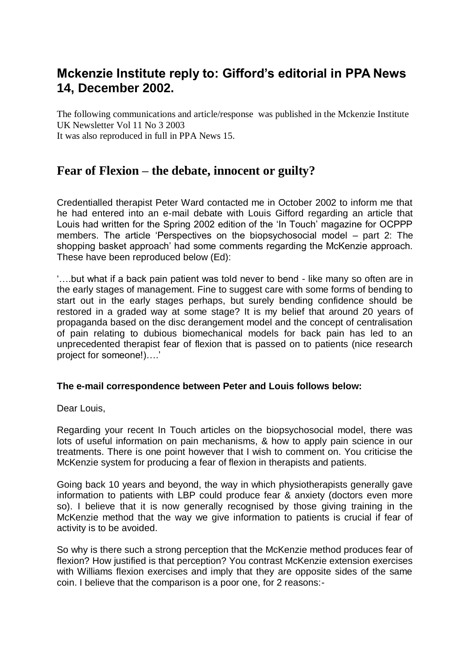## **Mckenzie Institute reply to: Gifford's editorial in PPA News 14, December 2002.**

The following communications and article/response was published in the Mckenzie Institute UK Newsletter Vol 11 No 3 2003

It was also reproduced in full in PPA News 15.

## **Fear of Flexion – the debate, innocent or guilty?**

Credentialled therapist Peter Ward contacted me in October 2002 to inform me that he had entered into an e-mail debate with Louis Gifford regarding an article that Louis had written for the Spring 2002 edition of the 'In Touch' magazine for OCPPP members. The article 'Perspectives on the biopsychosocial model – part 2: The shopping basket approach' had some comments regarding the McKenzie approach. These have been reproduced below (Ed):

'….but what if a back pain patient was told never to bend - like many so often are in the early stages of management. Fine to suggest care with some forms of bending to start out in the early stages perhaps, but surely bending confidence should be restored in a graded way at some stage? It is my belief that around 20 years of propaganda based on the disc derangement model and the concept of centralisation of pain relating to dubious biomechanical models for back pain has led to an unprecedented therapist fear of flexion that is passed on to patients (nice research project for someone!)….'

## **The e-mail correspondence between Peter and Louis follows below:**

Dear Louis,

Regarding your recent In Touch articles on the biopsychosocial model, there was lots of useful information on pain mechanisms, & how to apply pain science in our treatments. There is one point however that I wish to comment on. You criticise the McKenzie system for producing a fear of flexion in therapists and patients.

Going back 10 years and beyond, the way in which physiotherapists generally gave information to patients with LBP could produce fear & anxiety (doctors even more so). I believe that it is now generally recognised by those giving training in the McKenzie method that the way we give information to patients is crucial if fear of activity is to be avoided.

So why is there such a strong perception that the McKenzie method produces fear of flexion? How justified is that perception? You contrast McKenzie extension exercises with Williams flexion exercises and imply that they are opposite sides of the same coin. I believe that the comparison is a poor one, for 2 reasons:-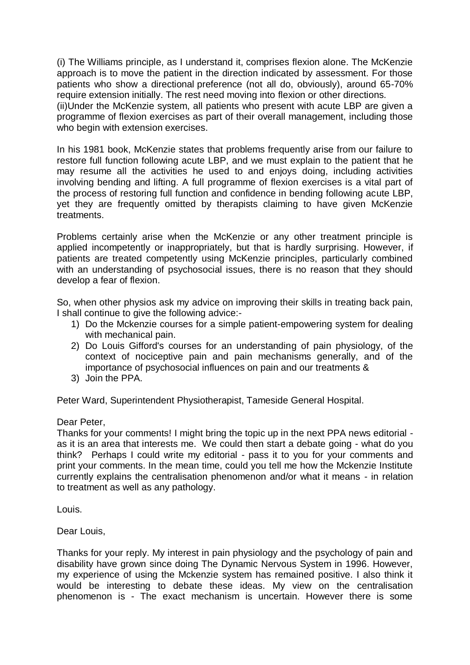(i) The Williams principle, as I understand it, comprises flexion alone. The McKenzie approach is to move the patient in the direction indicated by assessment. For those patients who show a directional preference (not all do, obviously), around 65-70% require extension initially. The rest need moving into flexion or other directions. (ii)Under the McKenzie system, all patients who present with acute LBP are given a programme of flexion exercises as part of their overall management, including those who begin with extension exercises.

In his 1981 book, McKenzie states that problems frequently arise from our failure to restore full function following acute LBP, and we must explain to the patient that he may resume all the activities he used to and enjoys doing, including activities involving bending and lifting. A full programme of flexion exercises is a vital part of the process of restoring full function and confidence in bending following acute LBP, yet they are frequently omitted by therapists claiming to have given McKenzie treatments.

Problems certainly arise when the McKenzie or any other treatment principle is applied incompetently or inappropriately, but that is hardly surprising. However, if patients are treated competently using McKenzie principles, particularly combined with an understanding of psychosocial issues, there is no reason that they should develop a fear of flexion.

So, when other physios ask my advice on improving their skills in treating back pain, I shall continue to give the following advice:-

- 1) Do the Mckenzie courses for a simple patient-empowering system for dealing with mechanical pain.
- 2) Do Louis Gifford's courses for an understanding of pain physiology, of the context of nociceptive pain and pain mechanisms generally, and of the importance of psychosocial influences on pain and our treatments &
- 3) Join the PPA.

Peter Ward, Superintendent Physiotherapist, Tameside General Hospital.

Dear Peter,

Thanks for your comments! I might bring the topic up in the next PPA news editorial as it is an area that interests me. We could then start a debate going - what do you think? Perhaps I could write my editorial - pass it to you for your comments and print your comments. In the mean time, could you tell me how the Mckenzie Institute currently explains the centralisation phenomenon and/or what it means - in relation to treatment as well as any pathology.

Louis.

Dear Louis,

Thanks for your reply. My interest in pain physiology and the psychology of pain and disability have grown since doing The Dynamic Nervous System in 1996. However, my experience of using the Mckenzie system has remained positive. I also think it would be interesting to debate these ideas. My view on the centralisation phenomenon is - The exact mechanism is uncertain. However there is some